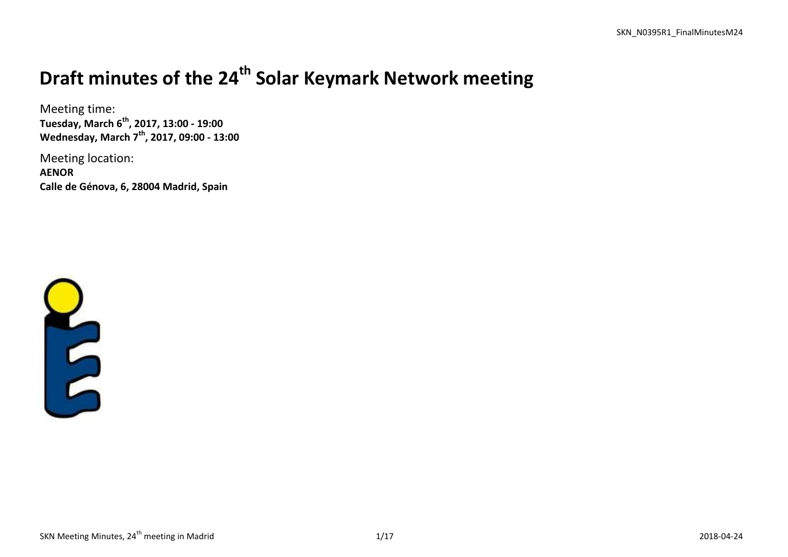# **Draft minutes of the 24 th Solar Keymark Network meeting**

Meeting time: **Tuesday, March 6 th , 2017, 13:00 - 19:00 Wednesday, March 7 th , 2017, 09:00 - 13:00**

Meeting location: **AENOR Calle de Génova, 6, 28004 Madrid, Spain**

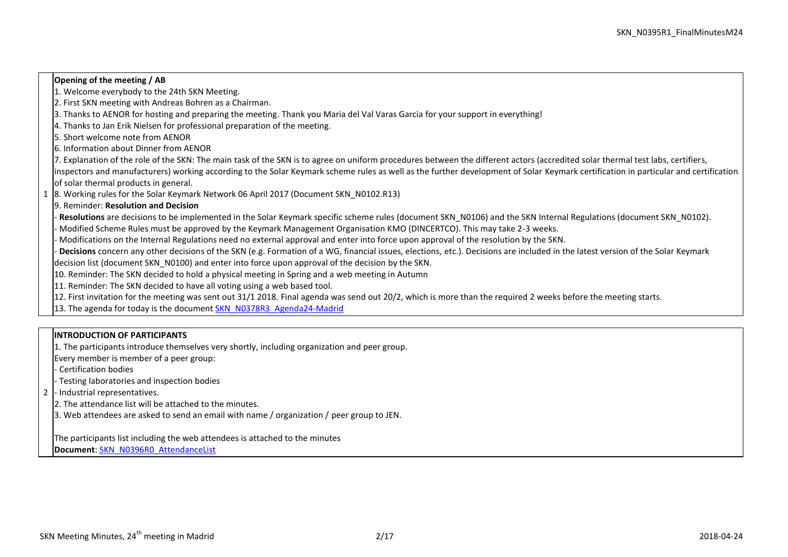## **Opening of the meeting / AB**

- 1. Welcome everybody to the 24th SKN Meeting.
- 2. First SKN meeting with Andreas Bohren as a Chairman.
- 3. Thanks to AENOR for hosting and preparing the meeting. Thank you Maria del Val Varas Garcia for your support in everything!
- 4. Thanks to Jan Erik Nielsen for professional preparation of the meeting.
- 5. Short welcome note from AENOR
- 6. Information about Dinner from AENOR
- 7. Explanation of the role of the SKN: The main task of the SKN is to agree on uniform procedures between the different actors (accredited solar thermal test labs, certifiers, inspectors and manufacturers) working according to the Solar Keymark scheme rules as well as the further development of Solar Keymark certification in particular and certification of solar thermal products in general.
- 1 8. Working rules for the Solar Keymark Network 06 April 2017 (Document SKN\_N0102.R13)
- 9. Reminder: **Resolution and Decision**
- **Resolutions** are decisions to be implemented in the Solar Keymark specific scheme rules (document SKN\_N0106) and the SKN Internal Regulations (document SKN\_N0102).
- Modified Scheme Rules must be approved by the Keymark Management Organisation KMO (DINCERTCO). This may take 2-3 weeks.
- Modifications on the Internal Regulations need no external approval and enter into force upon approval of the resolution by the SKN.
- **Decisions** concern any other decisions of the SKN (e.g. Formation of a WG, financial issues, elections, etc.). Decisions are included in the latest version of the Solar Keymark decision list (document SKN\_N0100) and enter into force upon approval of the decision by the SKN.
- 10. Reminder: The SKN decided to hold a physical meeting in Spring and a web meeting in Autumn
- 11. Reminder: The SKN decided to have all voting using a web based tool.
- 12. First invitation for the meeting was sent out 31/1 2018. Final agenda was send out 20/2, which is more than the required 2 weeks before the meeting starts.
- 13. The agenda for today is the document [SKN\\_N0378R3\\_Agenda24-Madrid](http://www.estif.org/solarkeymark/Links/Internal_links/network/sknwebdoclist/SKN_N0378R3_Agenda24-Madrid.docx)

# **INTRODUCTION OF PARTICIPANTS**

- 1. The participants introduce themselves very shortly, including organization and peer group.
- Every member is member of a peer group:
- Certification bodies
- Testing laboratories and inspection bodies
- 2 Industrial representatives.
- 2. The attendance list will be attached to the minutes.
- 3. Web attendees are asked to send an email with name / organization / peer group to JEN.
- The participants list including the web attendees is attached to the minutes **Document**: [SKN\\_N0396R0\\_AttendanceList](http://www.estif.org/solarkeymark/Links/Internal_links/network/sknwebdoclist/SKN_N0396R0_AttendanceList.pdf)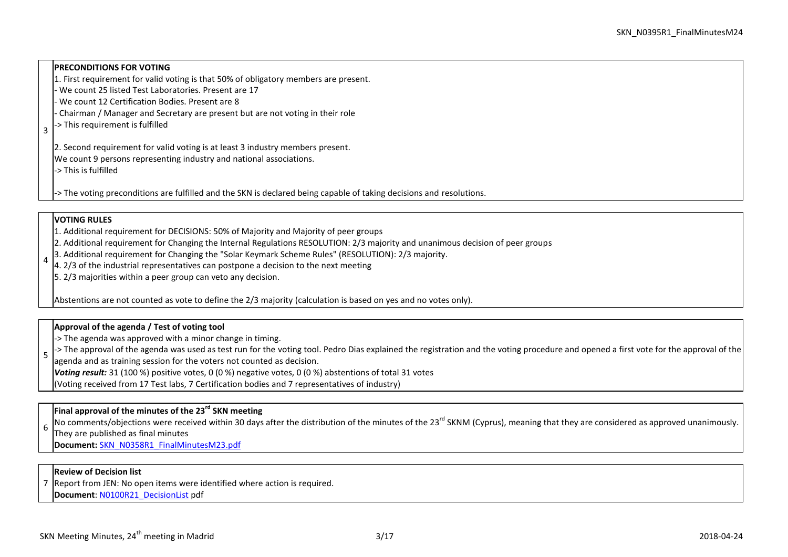# **PRECONDITIONS FOR VOTING**

- 1. First requirement for valid voting is that 50% of obligatory members are present.
- We count 25 listed Test Laboratories. Present are 17
- We count 12 Certification Bodies. Present are 8
- Chairman / Manager and Secretary are present but are not voting in their role
- 3 -> This requirement is fulfilled

2. Second requirement for valid voting is at least 3 industry members present.

We count 9 persons representing industry and national associations.

-> This is fulfilled

-> The voting preconditions are fulfilled and the SKN is declared being capable of taking decisions and resolutions.

# **VOTING RULES**

- 1. Additional requirement for DECISIONS: 50% of Majority and Majority of peer groups
- 2. Additional requirement for Changing the Internal Regulations RESOLUTION: 2/3 majority and unanimous decision of peer groups
- 4 3. Additional requirement for Changing the "Solar Keymark Scheme Rules" (RESOLUTION): 2/3 majority.
	- $\vert$ 4. 2/3 of the industrial representatives can postpone a decision to the next meeting
	- 5. 2/3 majorities within a peer group can veto any decision.

Abstentions are not counted as vote to define the 2/3 majority (calculation is based on yes and no votes only).

# **Approval of the agenda / Test of voting tool**

-> The agenda was approved with a minor change in timing.

5  $\sim$  The approval of the agenda was used as test run for the voting tool. Pedro Dias explained the registration and the voting procedure and opened a first vote for the approval of the agenda and as training session for the voters not counted as decision.

*Voting result:* 31 (100 %) positive votes, 0 (0 %) negative votes, 0 (0 %) abstentions of total 31 votes

(Voting received from 17 Test labs, 7 Certification bodies and 7 representatives of industry)

# **Final approval of the minutes of the 23rd SKN meeting**

6 No comments/objections were received within 30 days after the distribution of the minutes of the 23<sup>rd</sup> SKNM (Cvprus), meaning that they are considered as approved unanimously.

They are published as final minutes

**Document:** [SKN\\_N0358R1\\_FinalMinutesM23.pdf](http://www.estif.org/solarkeymark/Links/Internal_links/network/sknwebdoclist/SKN_N0358R1_FinalMinutesM23.pdf) 

# **Review of Decision list**

7 Report from JEN: No open items were identified where action is required.

**Document**[: N0100R21\\_DecisionList](http://www.estif.org/solarkeymark/Links/Internal_links/network/sknwebdoclist/SKN_N0100R21_DecisionList.pdf) pdf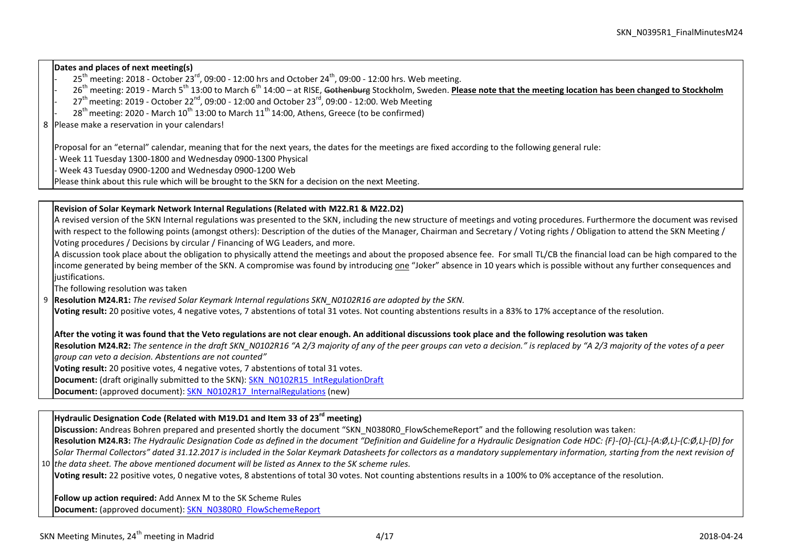**Dates and places of next meeting(s)**

- $25<sup>th</sup>$  meeting: 2018 October 23<sup>rd</sup>, 09:00 12:00 hrs and October 24<sup>th</sup>, 09:00 12:00 hrs. Web meeting.
- 26th meeting: 2019 March 5th 13:00 to March 6th 14:00 at RISE, Gothenburg Stockholm, Sweden. **Please note that the meeting location has been changed to Stockholm**
- $27<sup>th</sup>$  meeting: 2019 October 22<sup>nd</sup>, 09:00 12:00 and October 23<sup>rd</sup>, 09:00 12:00. Web Meeting
- $28<sup>th</sup>$  meeting: 2020 March  $10<sup>th</sup>$  13:00 to March  $11<sup>th</sup>$  14:00. Athens, Greece (to be confirmed)

8 Please make a reservation in your calendars!

Proposal for an "eternal" calendar, meaning that for the next years, the dates for the meetings are fixed according to the following general rule:

- Week 11 Tuesday 1300-1800 and Wednesday 0900-1300 Physical

- Week 43 Tuesday 0900-1200 and Wednesday 0900-1200 Web

Please think about this rule which will be brought to the SKN for a decision on the next Meeting.

# **Revision of Solar Keymark Network Internal Regulations (Related with M22.R1 & M22.D2)**

A revised version of the SKN Internal regulations was presented to the SKN, including the new structure of meetings and voting procedures. Furthermore the document was revised with respect to the following points (amongst others): Description of the duties of the Manager, Chairman and Secretary / Voting rights / Obligation to attend the SKN Meeting / Voting procedures / Decisions by circular / Financing of WG Leaders, and more.

A discussion took place about the obligation to physically attend the meetings and about the proposed absence fee. For small TL/CB the financial load can be high compared to the income generated by being member of the SKN. A compromise was found by introducing one "Joker" absence in 10 years which is possible without any further consequences and liustifications.

The following resolution was taken

9 **Resolution M24.R1:** *The revised Solar Keymark Internal regulations SKN\_N0102R16 are adopted by the SKN.*

**Voting result:** 20 positive votes, 4 negative votes, 7 abstentions of total 31 votes. Not counting abstentions results in a 83% to 17% acceptance of the resolution.

**After the voting it was found that the Veto regulations are not clear enough. An additional discussions took place and the following resolution was taken** 

Resolution M24.R2: The sentence in the draft SKN N0102R16 "A 2/3 majority of any of the peer groups can veto a decision." is replaced by "A 2/3 majority of the votes of a peer *group can veto a decision. Abstentions are not counted"*

**Voting result:** 20 positive votes, 4 negative votes, 7 abstentions of total 31 votes.

**Document:** (draft originally submitted to the SKN): [SKN\\_N0102R15\\_IntRegulationDraft](http://www.estif.org/solarkeymark/Links/Internal_links/network/sknwebdoclist/SKN_N0102R15_IntRegulationDraft.docx)

**Document:** (approved document): [SKN\\_N0102R17\\_InternalRegulations](http://www.estif.org/solarkeymark/Links/Internal_links/network/sknwebdoclist/SKN_N0102R17_InternalRegulations.docx) (new)

# **Hydraulic Designation Code (Related with M19.D1 and Item 33 of 23rd meeting)**

**Discussion:** Andreas Bohren prepared and presented shortly the document "SKN\_N0380R0\_FlowSchemeReport" and the following resolution was taken:

10 *the data sheet. The above mentioned document will be listed as Annex to the SK scheme rules.* **Resolution M24.R3:** *The Hydraulic Designation Code as defined in the document "Definition and Guideline for a Hydraulic Designation Code HDC: {F}-{O}-{CL}-{A:Ø,L}-{C:Ø,L}-{D} for Solar Thermal Collectors" dated 31.12.2017 is included in the Solar Keymark Datasheets for collectors as a mandatory supplementary information, starting from the next revision of* 

**Voting result:** 22 positive votes, 0 negative votes, 8 abstentions of total 30 votes. Not counting abstentions results in a 100% to 0% acceptance of the resolution.

**Follow up action required:** Add Annex M to the SK Scheme Rules **Document:** (approved document): [SKN\\_N0380R0\\_FlowSchemeReport](http://www.estif.org/solarkeymark/Links/Internal_links/network/sknwebdoclist/SKN_N0380R0_FlowSchemeReport.docx)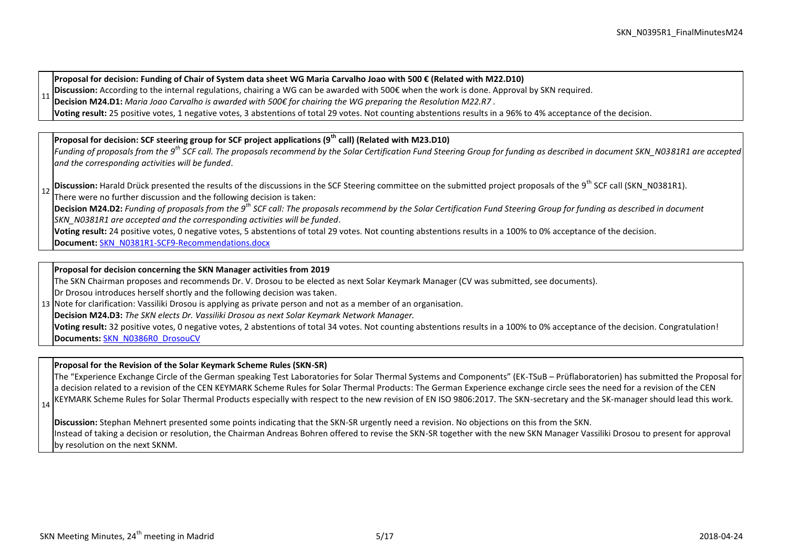**Proposal for decision: Funding of Chair of System data sheet WG Maria Carvalho Joao with 500 € (Related with M22.D10)**

11 **Discussion:** According to the internal regulations, chairing a WG can be awarded with 500€ when the work is done. Approval by SKN required.

**Decision M24.D1:** *Maria Joao Carvalho is awarded with 500€ for chairing the WG preparing the Resolution M22.R7 .* 

**Voting result:** 25 positive votes, 1 negative votes, 3 abstentions of total 29 votes. Not counting abstentions results in a 96% to 4% acceptance of the decision.

# **Proposal for decision: SCF steering group for SCF project applications (9th call) (Related with M23.D10)**

*Funding of proposals from the 9th SCF call. The proposals recommend by the Solar Certification Fund Steering Group for funding as described in document SKN\_N0381R1 are accepted and the corresponding activities will be funded*.

12 **Discussion:** Harald Drück presented the results of the discussions in the SCF Steering committee on the submitted project proposals of the 9<sup>th</sup> SCF call (SKN\_N0381R1). There were no further discussion and the following decision is taken: **Decision M24.D2:** *Funding of proposals from the 9th SCF call: The proposals recommend by the Solar Certification Fund Steering Group for funding as described in document SKN\_N0381R1 are accepted and the corresponding activities will be funded*.

**Voting result:** 24 positive votes, 0 negative votes, 5 abstentions of total 29 votes. Not counting abstentions results in a 100% to 0% acceptance of the decision.

**Document:** [SKN\\_N0381R1-SCF9-Recommendations.docx](http://www.estif.org/solarkeymark/Links/Internal_links/network/sknwebdoclist/SKN_N0381R1-SCF9-Recommendations.docx)

## **Proposal for decision concerning the SKN Manager activities from 2019**

The SKN Chairman proposes and recommends Dr. V. Drosou to be elected as next Solar Keymark Manager (CV was submitted, see documents).

Dr Drosou introduces herself shortly and the following decision was taken.

13 Note for clarification: Vassiliki Drosou is applying as private person and not as a member of an organisation.

**Decision M24.D3:** *The SKN elects Dr. Vassiliki Drosou as next Solar Keymark Network Manager.* 

**Voting result:** 32 positive votes, 0 negative votes, 2 abstentions of total 34 votes. Not counting abstentions results in a 100% to 0% acceptance of the decision. Congratulation! **Documents:** [SKN\\_N0386R0\\_DrosouCV](http://www.estif.org/solarkeymark/Links/Internal_links/network/sknwebdoclist/SKN_N0386R0_DrosouCV.pdf)

# **Proposal for the Revision of the Solar Keymark Scheme Rules (SKN-SR)**

The "Experience Exchange Circle of the German speaking Test Laboratories for Solar Thermal Systems and Components" (EK-TSuB – Prüflaboratorien) has submitted the Proposal for a decision related to a revision of the CEN KEYMARK Scheme Rules for Solar Thermal Products: The German Experience exchange circle sees the need for a revision of the CEN KEYMARK Scheme Rules for Solar Thermal Products especially with respect to the new revision of EN ISO 9806:2017. The SKN-secretary and the SK-manager should lead this work.

**Discussion:** Stephan Mehnert presented some points indicating that the SKN-SR urgently need a revision. No objections on this from the SKN. Instead of taking a decision or resolution, the Chairman Andreas Bohren offered to revise the SKN-SR together with the new SKN Manager Vassiliki Drosou to present for approval by resolution on the next SKNM.

14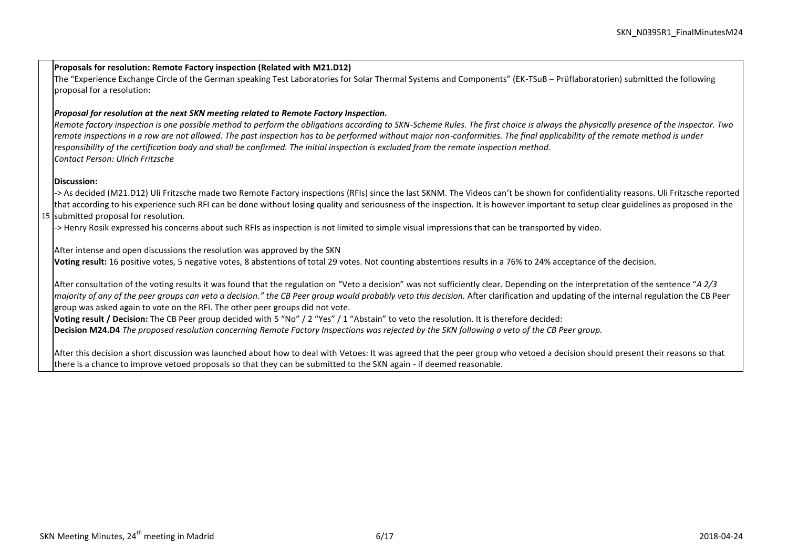#### **Proposals for resolution: Remote Factory inspection (Related with M21.D12)**

The "Experience Exchange Circle of the German speaking Test Laboratories for Solar Thermal Systems and Components" (EK-TSuB – Prüflaboratorien) submitted the following proposal for a resolution:

# *Proposal for resolution at the next SKN meeting related to Remote Factory Inspection.*

*Remote factory inspection is one possible method to perform the obligations according to SKN-Scheme Rules. The first choice is always the physically presence of the inspector. Two remote inspections in a row are not allowed. The past inspection has to be performed without major non-conformities. The final applicability of the remote method is under responsibility of the certification body and shall be confirmed. The initial inspection is excluded from the remote inspection method. Contact Person: Ulrich Fritzsche*

## **Discussion:**

15 submitted proposal for resolution. -> As decided (M21.D12) Uli Fritzsche made two Remote Factory inspections (RFIs) since the last SKNM. The Videos can't be shown for confidentiality reasons. Uli Fritzsche reported that according to his experience such RFI can be done without losing quality and seriousness of the inspection. It is however important to setup clear guidelines as proposed in the

-> Henry Rosik expressed his concerns about such RFIs as inspection is not limited to simple visual impressions that can be transported by video.

After intense and open discussions the resolution was approved by the SKN

**Voting result:** 16 positive votes, 5 negative votes, 8 abstentions of total 29 votes. Not counting abstentions results in a 76% to 24% acceptance of the decision.

After consultation of the voting results it was found that the regulation on "Veto a decision" was not sufficiently clear. Depending on the interpretation of the sentence "*A 2/3 majority of any of the peer groups can veto a decision." the CB Peer group would probably veto this decision.* After clarification and updating of the internal regulation the CB Peer group was asked again to vote on the RFI. The other peer groups did not vote.

**Voting result / Decision:** The CB Peer group decided with 5 "No" / 2 "Yes" / 1 "Abstain" to veto the resolution. It is therefore decided:

**Decision M24.D4** *The proposed resolution concerning Remote Factory Inspections was rejected by the SKN following a veto of the CB Peer group.*

After this decision a short discussion was launched about how to deal with Vetoes: It was agreed that the peer group who vetoed a decision should present their reasons so that there is a chance to improve vetoed proposals so that they can be submitted to the SKN again - if deemed reasonable.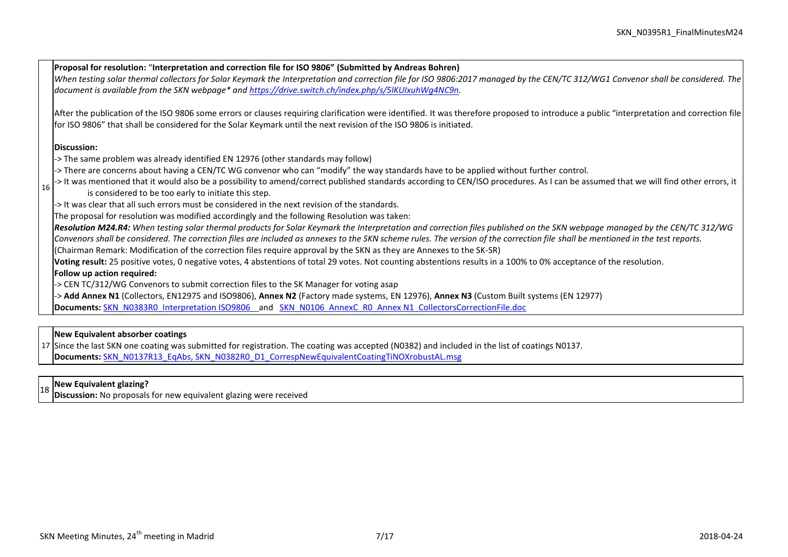**Proposal for resolution:** "**Interpretation and correction file for ISO 9806" (Submitted by Andreas Bohren)** *When testing solar thermal collectors for Solar Keymark the Interpretation and correction file for ISO 9806:2017 managed by the CEN/TC 312/WG1 Convenor shall be considered. The document is available from the SKN webpage\* an[d https://drive.switch.ch/index.php/s/5lKUIxuhWg4NC9n.](https://drive.switch.ch/index.php/s/5lKUIxuhWg4NC9n)*  After the publication of the ISO 9806 some errors or clauses requiring clarification were identified. It was therefore proposed to introduce a public "interpretation and correction file for ISO 9806" that shall be considered for the Solar Keymark until the next revision of the ISO 9806 is initiated. **Discussion:**

- -> The same problem was already identified EN 12976 (other standards may follow)
- -> There are concerns about having a CEN/TC WG convenor who can "modify" the way standards have to be applied without further control.
- 16 -> It was mentioned that it would also be a possibility to amend/correct published standards according to CEN/ISO procedures. As I can be assumed that we will find other errors, it is considered to be too early to initiate this step.
	- -> It was clear that all such errors must be considered in the next revision of the standards.

The proposal for resolution was modified accordingly and the following Resolution was taken:

*Resolution M24.R4: When testing solar thermal products for Solar Keymark the Interpretation and correction files published on the SKN webpage managed by the CEN/TC 312/WG Convenors shall be considered. The correction files are included as annexes to the SKN scheme rules. The version of the correction file shall be mentioned in the test reports.*

(Chairman Remark: Modification of the correction files require approval by the SKN as they are Annexes to the SK-SR)

**Voting result:** 25 positive votes, 0 negative votes, 4 abstentions of total 29 votes. Not counting abstentions results in a 100% to 0% acceptance of the resolution.

# **Follow up action required:**

-> CEN TC/312/WG Convenors to submit correction files to the SK Manager for voting asap

-> **Add Annex N1** (Collectors, EN12975 and ISO9806), **Annex N2** (Factory made systems, EN 12976), **Annex N3** (Custom Built systems (EN 12977)

**Documents:** [SKN\\_N0383R0\\_Interpretation ISO9806](http://www.estif.org/solarkeymark/Links/Internal_links/network/sknwebdoclist/SKN_N0383R0_Interpretation%20ISO9806.docx) and [SKN\\_N0106\\_AnnexC\\_R0\\_Annex N1\\_CollectorsCorrectionFile.doc](http://www.estif.org/solarkeymark/Links/Internal_links/network/sknwebdoclist/SKN_N0106_AnnexC_R0_Annex%20N1_CollectorsCorrectionFile.doc)

# **New Equivalent absorber coatings**

17 Since the last SKN one coating was submitted for registration. The coating was accepted (N0382) and included in the list of coatings N0137. **Documents:** [SKN\\_N0137R13\\_EqAbs,](http://www.estif.org/solarkeymark/Links/Internal_links/network/sknwebdoclist/SKN_N0137R13_EqAbs.pdf) [SKN\\_N0382R0\\_D1\\_CorrespNewEquivalentCoatingTiNOXrobustAL.msg](http://www.estif.org/solarkeymark/Links/Internal_links/network/sknwebdoclist/SKN_N0382R0_D1_CorrespNewEquivalentCoatingTiNOXrobustAL.msg)

# <sup>18</sup> **New Equivalent glazing?**

**Discussion:** No proposals for new equivalent glazing were received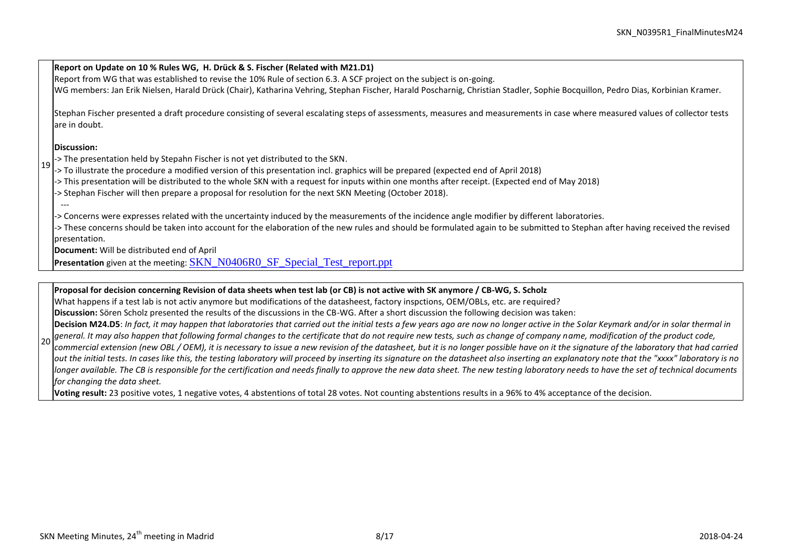19 **Report on Update on 10 % Rules WG, H. Drück & S. Fischer (Related with M21.D1)** Report from WG that was established to revise the 10% Rule of section 6.3. A SCF project on the subject is on-going. WG members: Jan Erik Nielsen, Harald Drück (Chair), Katharina Vehring, Stephan Fischer, Harald Poscharnig, Christian Stadler, Sophie Bocquillon, Pedro Dias, Korbinian Kramer. Stephan Fischer presented a draft procedure consisting of several escalating steps of assessments, measures and measurements in case where measured values of collector tests are in doubt. **Discussion:** -> The presentation held by Stepahn Fischer is not yet distributed to the SKN. -> To illustrate the procedure a modified version of this presentation incl. graphics will be prepared (expected end of April 2018) -> This presentation will be distributed to the whole SKN with a request for inputs within one months after receipt. (Expected end of May 2018) -> Stephan Fischer will then prepare a proposal for resolution for the next SKN Meeting (October 2018). --- -> Concerns were expresses related with the uncertainty induced by the measurements of the incidence angle modifier by different laboratories. -> These concerns should be taken into account for the elaboration of the new rules and should be formulated again to be submitted to Stephan after having received the revised presentation. **Document:** Will be distributed end of April **Presentation** given at the meeting: **[SKN\\_N0406R0\\_SF\\_Special\\_Test\\_report.ppt](http://www.estif.org/solarkeymark/Links/Internal_links/network/sknwebdoclist/SKN_N0406R0_SF_Special_Test_report.ppt)** 

#### **Proposal for decision concerning Revision of data sheets when test lab (or CB) is not active with SK anymore / CB-WG, S. Scholz**

What happens if a test lab is not activ anymore but modifications of the datasheest, factory inspctions, OEM/OBLs, etc. are required?

**Discussion:** Sören Scholz presented the results of the discussions in the CB-WG. After a short discussion the following decision was taken:

 $20$ **Decision M24.D5**: *In fact, it may happen that laboratories that carried out the initial tests a few years ago are now no longer active in the Solar Keymark and/or in solar thermal in general. It may also happen that following formal changes to the certificate that do not require new tests, such as change of company name, modification of the product code,* 

*commercial extension (new OBL / OEM), it is necessary to issue a new revision of the datasheet, but it is no longer possible have on it the signature of the laboratory that had carried out the initial tests. In cases like this, the testing laboratory will proceed by inserting its signature on the datasheet also inserting an explanatory note that the "xxxx" laboratory is no longer available. The CB is responsible for the certification and needs finally to approve the new data sheet. The new testing laboratory needs to have the set of technical documents for changing the data sheet.*

**Voting result:** 23 positive votes, 1 negative votes, 4 abstentions of total 28 votes. Not counting abstentions results in a 96% to 4% acceptance of the decision.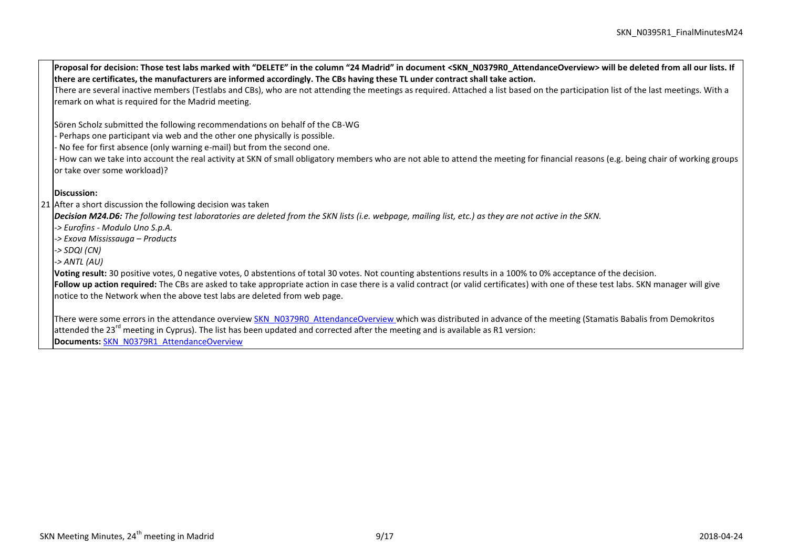21 After a short discussion the following decision was taken **Proposal for decision: Those test labs marked with "DELETE" in the column "24 Madrid" in document <SKN\_N0379R0\_AttendanceOverview> will be deleted from all our lists. If there are certificates, the manufacturers are informed accordingly. The CBs having these TL under contract shall take action.** There are several inactive members (Testlabs and CBs), who are not attending the meetings as required. Attached a list based on the participation list of the last meetings. With a remark on what is required for the Madrid meeting. Sören Scholz submitted the following recommendations on behalf of the CB-WG - Perhaps one participant via web and the other one physically is possible. - No fee for first absence (only warning e-mail) but from the second one. - How can we take into account the real activity at SKN of small obligatory members who are not able to attend the meeting for financial reasons (e.g. being chair of working groups or take over some workload)? **Discussion:** *Decision M24.D6: The following test laboratories are deleted from the SKN lists (i.e. webpage, mailing list, etc.) as they are not active in the SKN. -> Eurofins - Modulo Uno S.p.A. -> Exova Mississauga – Products -> SDQI (CN) -> ANTL (AU)*  **Voting result:** 30 positive votes, 0 negative votes, 0 abstentions of total 30 votes. Not counting abstentions results in a 100% to 0% acceptance of the decision. **Follow up action required:** The CBs are asked to take appropriate action in case there is a valid contract (or valid certificates) with one of these test labs. SKN manager will give notice to the Network when the above test labs are deleted from web page. There were some errors in the attendance overvie[w SKN\\_N0379R0\\_AttendanceOverview](http://www.estif.org/solarkeymark/Links/Internal_links/network/sknwebdoclist/SKN_N0379R0_AttendanceOverview.docx) which was distributed in advance of the meeting (Stamatis Babalis from Demokritos attended the 23<sup>rd</sup> meeting in Cyprus). The list has been updated and corrected after the meeting and is available as R1 version:

**Documents:** [SKN\\_N0379R1\\_AttendanceOverview](http://www.estif.org/solarkeymark/Links/Internal_links/network/sknwebdoclist/SKN_N0379R1_AttendanceOverview.xlsx)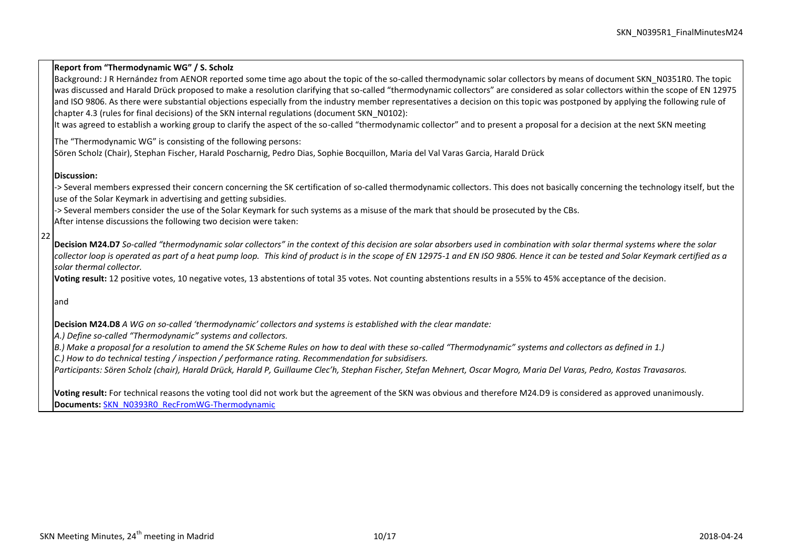$22$ **Report from "Thermodynamic WG" / S. Scholz** Background: J R Hernández from AENOR reported some time ago about the topic of the so-called thermodynamic solar collectors by means of document SKN\_N0351R0. The topic was discussed and Harald Drück proposed to make a resolution clarifying that so-called "thermodynamic collectors" are considered as solar collectors within the scope of EN 12975 and ISO 9806. As there were substantial objections especially from the industry member representatives a decision on this topic was postponed by applying the following rule of chapter 4.3 (rules for final decisions) of the SKN internal regulations (document SKN\_N0102): It was agreed to establish a working group to clarify the aspect of the so-called "thermodynamic collector" and to present a proposal for a decision at the next SKN meeting The "Thermodynamic WG" is consisting of the following persons: Sören Scholz (Chair), Stephan Fischer, Harald Poscharnig, Pedro Dias, Sophie Bocquillon, Maria del Val Varas Garcia, Harald Drück **Discussion:** -> Several members expressed their concern concerning the SK certification of so-called thermodynamic collectors. This does not basically concerning the technology itself, but the use of the Solar Keymark in advertising and getting subsidies. -> Several members consider the use of the Solar Keymark for such systems as a misuse of the mark that should be prosecuted by the CBs. After intense discussions the following two decision were taken: **Decision M24.D7** *So-called "thermodynamic solar collectors" in the context of this decision are solar absorbers used in combination with solar thermal systems where the solar collector loop is operated as part of a heat pump loop. This kind of product is in the scope of EN 12975-1 and EN ISO 9806. Hence it can be tested and Solar Keymark certified as a solar thermal collector.* **Voting result:** 12 positive votes, 10 negative votes, 13 abstentions of total 35 votes. Not counting abstentions results in a 55% to 45% acceptance of the decision. and **Decision M24.D8** *A WG on so-called 'thermodynamic' collectors and systems is established with the clear mandate: A.) Define so-called "Thermodynamic" systems and collectors. B.) Make a proposal for a resolution to amend the SK Scheme Rules on how to deal with these so-called "Thermodynamic" systems and collectors as defined in 1.) C.) How to do technical testing / inspection / performance rating. Recommendation for subsidisers. Participants: Sören Scholz (chair), Harald Drück, Harald P, Guillaume Clec'h, Stephan Fischer, Stefan Mehnert, Oscar Mogro, Maria Del Varas, Pedro, Kostas Travasaros.* **Voting result:** For technical reasons the voting tool did not work but the agreement of the SKN was obvious and therefore M24.D9 is considered as approved unanimously. **Documents:** [SKN\\_N0393R0\\_RecFromWG-Thermodynamic](http://www.estif.org/solarkeymark/Links/Internal_links/network/sknwebdoclist/SKN_N0393R0_RecFromWG-Thermodynamic.docx)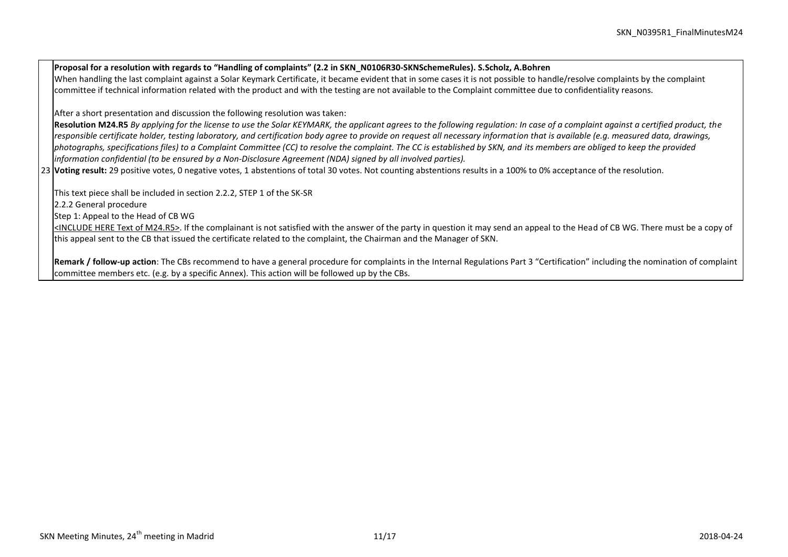23 **Voting result:** 29 positive votes, 0 negative votes, 1 abstentions of total 30 votes. Not counting abstentions results in a 100% to 0% acceptance of the resolution. **Proposal for a resolution with regards to "Handling of complaints" (2.2 in SKN\_N0106R30-SKNSchemeRules). S.Scholz, A.Bohren** When handling the last complaint against a Solar Keymark Certificate, it became evident that in some cases it is not possible to handle/resolve complaints by the complaint committee if technical information related with the product and with the testing are not available to the Complaint committee due to confidentiality reasons. After a short presentation and discussion the following resolution was taken: **Resolution M24.R5** *By applying for the license to use the Solar KEYMARK, the applicant agrees to the following regulation: In case of a complaint against a certified product, the responsible certificate holder, testing laboratory, and certification body agree to provide on request all necessary information that is available (e.g. measured data, drawings, photographs, specifications files) to a Complaint Committee (CC) to resolve the complaint. The CC is established by SKN, and its members are obliged to keep the provided information confidential (to be ensured by a Non-Disclosure Agreement (NDA) signed by all involved parties).* This text piece shall be included in section 2.2.2, STEP 1 of the SK-SR 2.2.2 General procedure Step 1: Appeal to the Head of CB WG <INCLUDE HERE Text of M24.R5>. If the complainant is not satisfied with the answer of the party in question it may send an appeal to the Head of CB WG. There must be a copy of this appeal sent to the CB that issued the certificate related to the complaint, the Chairman and the Manager of SKN.

**Remark / follow-up action**: The CBs recommend to have a general procedure for complaints in the Internal Regulations Part 3 "Certification" including the nomination of complaint committee members etc. (e.g. by a specific Annex). This action will be followed up by the CBs.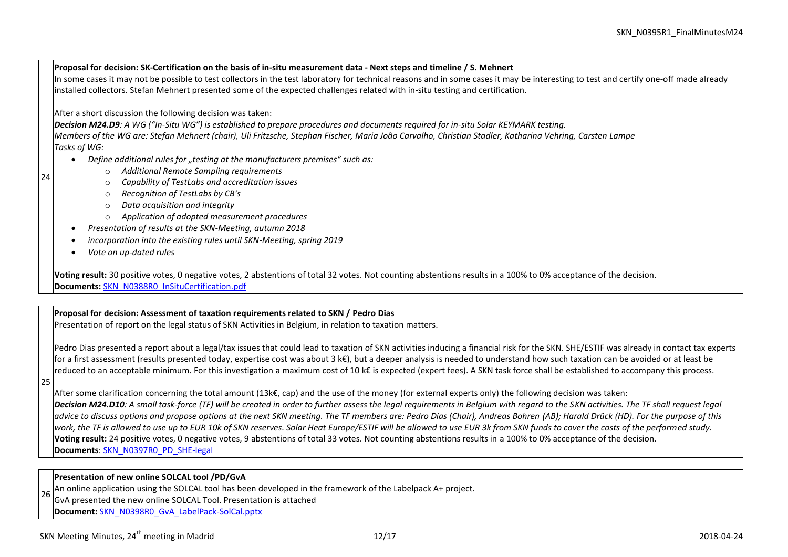**Proposal for decision: SK-Certification on the basis of in-situ measurement data - Next steps and timeline / S. Mehnert** In some cases it may not be possible to test collectors in the test laboratory for technical reasons and in some cases it may be interesting to test and certify one-off made already installed collectors. Stefan Mehnert presented some of the expected challenges related with in-situ testing and certification. After a short discussion the following decision was taken: *Decision M24.D9: A WG ("In-Situ WG") is established to prepare procedures and documents required for in-situ Solar KEYMARK testing. Members of the WG are: Stefan Mehnert (chair), Uli Fritzsche, Stephan Fischer, Maria João Carvalho, Christian Stadler, Katharina Vehring, Carsten Lampe Tasks of WG:*

- *Define additional rules for "testing at the manufacturers premises" such as:*
	- o *Additional Remote Sampling requirements*
	- o *Capability of TestLabs and accreditation issues*
	- o *Recognition of TestLabs by CB's*
	- o *Data acquisition and integrity*
	- o *Application of adopted measurement procedures*
	- *Presentation of results at the SKN-Meeting, autumn 2018*
- *incorporation into the existing rules until SKN-Meeting, spring 2019*
- *Vote on up-dated rules*

**Voting result:** 30 positive votes, 0 negative votes, 2 abstentions of total 32 votes. Not counting abstentions results in a 100% to 0% acceptance of the decision. **Documents:** [SKN\\_N0388R0\\_InSituCertification.pdf](http://www.estif.org/solarkeymark/Links/Internal_links/network/sknwebdoclist/SKN_N0388R0_InSituCertification.pdf)

# **Proposal for decision: Assessment of taxation requirements related to SKN / Pedro Dias**

Presentation of report on the legal status of SKN Activities in Belgium, in relation to taxation matters.

Pedro Dias presented a report about a legal/tax issues that could lead to taxation of SKN activities inducing a financial risk for the SKN. SHE/ESTIF was already in contact tax experts for a first assessment (results presented today, expertise cost was about 3 k€), but a deeper analysis is needed to understand how such taxation can be avoided or at least be reduced to an acceptable minimum. For this investigation a maximum cost of 10 k€ is expected (expert fees). A SKN task force shall be established to accompany this process.

25

24

After some clarification concerning the total amount (13k€, cap) and the use of the money (for external experts only) the following decision was taken:

**Decision M24.D10**: A small task-force (TF) will be created in order to further assess the legal requirements in Belgium with regard to the SKN activities. The TF shall request legal *advice to discuss options and propose options at the next SKN meeting. The TF members are: Pedro Dias (Chair), Andreas Bohren (AB); Harald Drück (HD). For the purpose of this work, the TF is allowed to use up to EUR 10k of SKN reserves. Solar Heat Europe/ESTIF will be allowed to use EUR 3k from SKN funds to cover the costs of the performed study.* **Voting result:** 24 positive votes, 0 negative votes, 9 abstentions of total 33 votes. Not counting abstentions results in a 100% to 0% acceptance of the decision. **Documents**[: SKN\\_N0397R0\\_PD\\_SHE-legal](http://www.estif.org/solarkeymark/Links/Internal_links/network/sknwebdoclist/SKN_N0397R0_PD_SHE-legal.pdf)

# **Presentation of new online SOLCAL tool /PD/GvA**

26 An online application using the SOLCAL tool has been developed in the framework of the Labelpack A+ project.

GvA presented the new online SOLCAL Tool. Presentation is attached

**Document:** [SKN\\_N0398R0\\_GvA\\_LabelPack-SolCal.pptx](http://www.estif.org/solarkeymark/Links/Internal_links/network/sknwebdoclist/SKN_N0398R0_GvA_LabelPack-SolCal.pptx)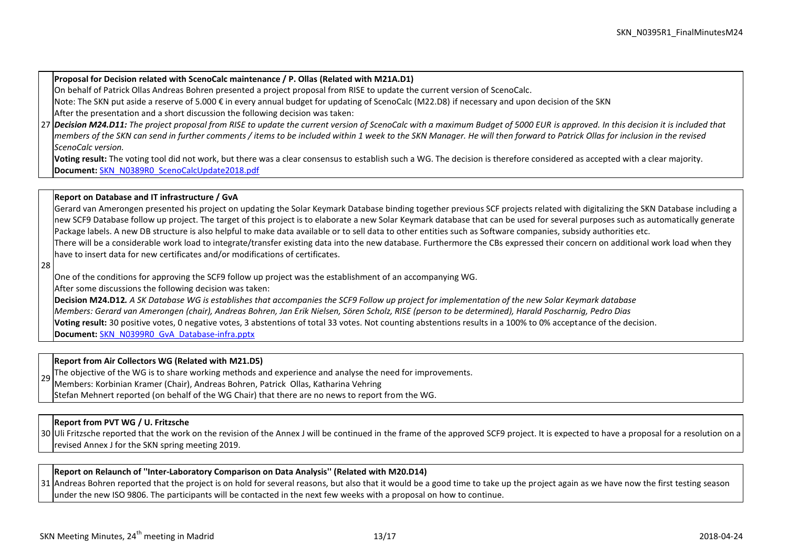### **Proposal for Decision related with ScenoCalc maintenance / P. Ollas (Related with M21A.D1)**

On behalf of Patrick Ollas Andreas Bohren presented a project proposal from RISE to update the current version of ScenoCalc.

Note: The SKN put aside a reserve of 5.000 € in every annual budget for updating of ScenoCalc (M22.D8) if necessary and upon decision of the SKN

After the presentation and a short discussion the following decision was taken:

27 *Decision M24.D11: The project proposal from RISE to update the current version of ScenoCalc with a maximum Budget of 5000 EUR is approved. In this decision it is included that members of the SKN can send in further comments / items to be included within 1 week to the SKN Manager. He will then forward to Patrick Ollas for inclusion in the revised ScenoCalc version.*

**Voting result:** The voting tool did not work, but there was a clear consensus to establish such a WG. The decision is therefore considered as accepted with a clear majority. **Document:** [SKN\\_N0389R0\\_ScenoCalcUpdate2018.pdf](http://www.estif.org/solarkeymark/Links/Internal_links/network/sknwebdoclist/SKN_N0389R0_ScenoCalcUpdate2018.pdf)

#### **Report on Database and IT infrastructure / GvA**

Gerard van Amerongen presented his project on updating the Solar Keymark Database binding together previous SCF projects related with digitalizing the SKN Database including a new SCF9 Database follow up project. The target of this project is to elaborate a new Solar Keymark database that can be used for several purposes such as automatically generate Package labels. A new DB structure is also helpful to make data available or to sell data to other entities such as Software companies, subsidy authorities etc. There will be a considerable work load to integrate/transfer existing data into the new database. Furthermore the CBs expressed their concern on additional work load when they

have to insert data for new certificates and/or modifications of certificates.

28

One of the conditions for approving the SCF9 follow up project was the establishment of an accompanying WG.

After some discussions the following decision was taken:

**Decision M24.D12***. A SK Database WG is establishes that accompanies the SCF9 Follow up project for implementation of the new Solar Keymark database Members: Gerard van Amerongen (chair), Andreas Bohren, Jan Erik Nielsen, Sören Scholz, RISE (person to be determined), Harald Poscharnig, Pedro Dias* **Voting result:** 30 positive votes, 0 negative votes, 3 abstentions of total 33 votes. Not counting abstentions results in a 100% to 0% acceptance of the decision. **Document:** [SKN\\_N0399R0\\_GvA\\_Database-infra.pptx](http://www.estif.org/solarkeymark/Links/Internal_links/network/sknwebdoclist/SKN_N0399R0_GvA_Database-infra.pptx)

#### **Report from Air Collectors WG (Related with M21.D5)**

29 The objective of the WG is to share working methods and experience and analyse the need for improvements.

Members: Korbinian Kramer (Chair), Andreas Bohren, Patrick Ollas, Katharina Vehring

Stefan Mehnert reported (on behalf of the WG Chair) that there are no news to report from the WG.

# **Report from PVT WG / U. Fritzsche**

30 Uli Fritzsche reported that the work on the revision of the Annex J will be continued in the frame of the approved SCF9 project. It is expected to have a proposal for a resolution on a revised Annex J for the SKN spring meeting 2019.

**Report on Relaunch of ''Inter-Laboratory Comparison on Data Analysis'' (Related with M20.D14)**

31 |Andreas Bohren reported that the project is on hold for several reasons, but also that it would be a good time to take up the project again as we have now the first testing season under the new ISO 9806. The participants will be contacted in the next few weeks with a proposal on how to continue.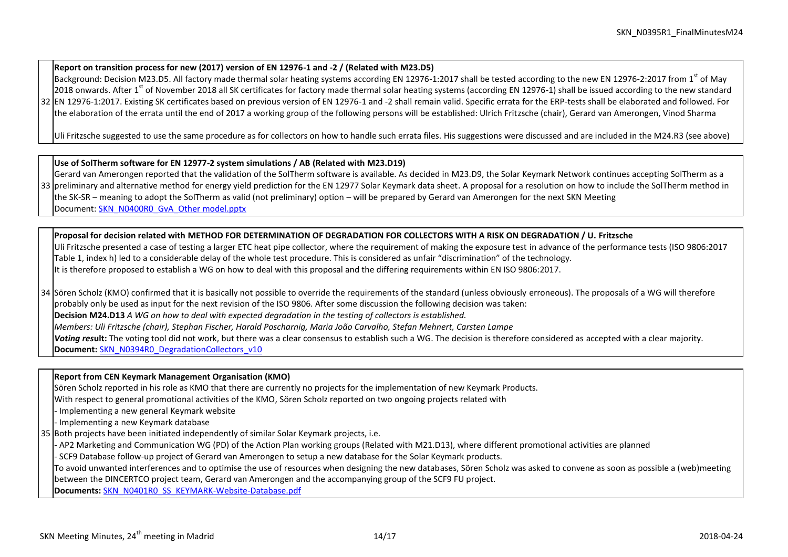# **Report on transition process for new (2017) version of EN 12976-1 and -2 / (Related with M23.D5)**

32 EN 12976-1:2017. Existing SK certificates based on previous version of EN 12976-1 and -2 shall remain valid. Specific errata for the ERP-tests shall be elaborated and followed. For Background: Decision M23.D5. All factory made thermal solar heating systems according EN 12976-1:2017 shall be tested according to the new EN 12976-2:2017 from 1<sup>st</sup> of May 2018 onwards. After 1<sup>st</sup> of November 2018 all SK certificates for factory made thermal solar heating systems (according EN 12976-1) shall be issued according to the new standard the elaboration of the errata until the end of 2017 a working group of the following persons will be established: Ulrich Fritzsche (chair), Gerard van Amerongen, Vinod Sharma

Uli Fritzsche suggested to use the same procedure as for collectors on how to handle such errata files. His suggestions were discussed and are included in the M24.R3 (see above)

# **Use of SolTherm software for EN 12977-2 system simulations / AB (Related with M23.D19)**

33 |preliminary and alternative method for energy yield prediction for the EN 12977 Solar Keymark data sheet. A proposal for a resolution on how to include the SolTherm method in Gerard van Amerongen reported that the validation of the SolTherm software is available. As decided in M23.D9, the Solar Keymark Network continues accepting SolTherm as a the SK-SR – meaning to adopt the SolTherm as valid (not preliminary) option – will be prepared by Gerard van Amerongen for the next SKN Meeting Document[: SKN\\_N0400R0\\_GvA\\_Other model.pptx](http://www.estif.org/solarkeymark/Links/Internal_links/network/sknwebdoclist/SKN_N0400R0_GvA_Other%20model.pptx)

**Proposal for decision related with METHOD FOR DETERMINATION OF DEGRADATION FOR COLLECTORS WITH A RISK ON DEGRADATION / U. Fritzsche**

Uli Fritzsche presented a case of testing a larger ETC heat pipe collector, where the requirement of making the exposure test in advance of the performance tests (ISO 9806:2017 Table 1, index h) led to a considerable delay of the whole test procedure. This is considered as unfair "discrimination" of the technology. It is therefore proposed to establish a WG on how to deal with this proposal and the differing requirements within EN ISO 9806:2017.

34 Sören Scholz (KMO) confirmed that it is basically not possible to override the requirements of the standard (unless obviously erroneous). The proposals of a WG will therefore probably only be used as input for the next revision of the ISO 9806. After some discussion the following decision was taken: **Decision M24.D13** *A WG on how to deal with expected degradation in the testing of collectors is established. Members: Uli Fritzsche (chair), Stephan Fischer, Harald Poscharnig, Maria João Carvalho, Stefan Mehnert, Carsten Lampe Voting res***ult:** The voting tool did not work, but there was a clear consensus to establish such a WG. The decision is therefore considered as accepted with a clear majority. **Document:** [SKN\\_N0394R0\\_DegradationCollectors\\_v10](http://www.estif.org/solarkeymark/Links/Internal_links/network/sknwebdoclist/SKN_N0394R0_DegradationCollectors_v10.docx)

#### **Report from CEN Keymark Management Organisation (KMO)**

Sören Scholz reported in his role as KMO that there are currently no projects for the implementation of new Keymark Products.

With respect to general promotional activities of the KMO, Sören Scholz reported on two ongoing projects related with

- Implementing a new general Keymark website
- Implementing a new Keymark database
- 35 Both projects have been initiated independently of similar Solar Keymark projects, i.e.
	- AP2 Marketing and Communication WG (PD) of the Action Plan working groups (Related with M21.D13), where different promotional activities are planned
	- SCF9 Database follow-up project of Gerard van Amerongen to setup a new database for the Solar Keymark products.

To avoid unwanted interferences and to optimise the use of resources when designing the new databases, Sören Scholz was asked to convene as soon as possible a (web)meeting between the DINCERTCO project team, Gerard van Amerongen and the accompanying group of the SCF9 FU project.

**Documents:** [SKN\\_N0401R0\\_SS\\_KEYMARK-Website-Database.pdf](http://www.estif.org/solarkeymark/Links/Internal_links/network/sknwebdoclist/SKN_N0401R0_SS_KEYMARK-Website-Database.pdf)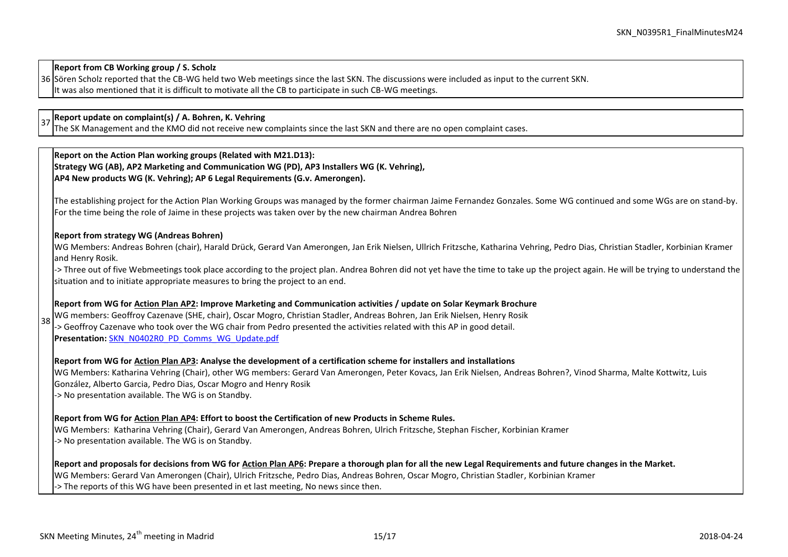**Report from CB Working group / S. Scholz**

36 Sören Scholz reported that the CB-WG held two Web meetings since the last SKN. The discussions were included as input to the current SKN. It was also mentioned that it is difficult to motivate all the CB to participate in such CB-WG meetings.

<sup>37</sup> **Report update on complaint(s) / A. Bohren, K. Vehring**

The SK Management and the KMO did not receive new complaints since the last SKN and there are no open complaint cases.

**Report on the Action Plan working groups (Related with M21.D13): Strategy WG (AB), AP2 Marketing and Communication WG (PD), AP3 Installers WG (K. Vehring), AP4 New products WG (K. Vehring); AP 6 Legal Requirements (G.v. Amerongen).** 

The establishing project for the Action Plan Working Groups was managed by the former chairman Jaime Fernandez Gonzales. Some WG continued and some WGs are on stand-by. For the time being the role of Jaime in these projects was taken over by the new chairman Andrea Bohren

#### **Report from strategy WG (Andreas Bohren)**

WG Members: Andreas Bohren (chair), Harald Drück, Gerard Van Amerongen, Jan Erik Nielsen, Ullrich Fritzsche, Katharina Vehring, Pedro Dias, Christian Stadler, Korbinian Kramer and Henry Rosik.

-> Three out of five Webmeetings took place according to the project plan. Andrea Bohren did not yet have the time to take up the project again. He will be trying to understand the situation and to initiate appropriate measures to bring the project to an end.

#### **Report from WG for Action Plan AP2: Improve Marketing and Communication activities / update on Solar Keymark Brochure**

38 WG members: Geoffroy Cazenave (SHE, chair), Oscar Mogro, Christian Stadler, Andreas Bohren, Jan Erik Nielsen, Henry Rosik -> Geoffroy Cazenave who took over the WG chair from Pedro presented the activities related with this AP in good detail. **Presentation:** [SKN\\_N0402R0\\_PD\\_Comms\\_WG\\_Update.pdf](http://www.estif.org/solarkeymark/Links/Internal_links/network/sknwebdoclist/SKN_N0402R0_PD_Comms_WG_Update.pdf)

#### **Report from WG for Action Plan AP3: Analyse the development of a certification scheme for installers and installations**

WG Members: Katharina Vehring (Chair), other WG members: Gerard Van Amerongen, Peter Kovacs, Jan Erik Nielsen, Andreas Bohren?, Vinod Sharma, Malte Kottwitz, Luis González, Alberto Garcia, Pedro Dias, Oscar Mogro and Henry Rosik -> No presentation available. The WG is on Standby.

#### **Report from WG for Action Plan AP4: Effort to boost the Certification of new Products in Scheme Rules.**

WG Members: Katharina Vehring (Chair), Gerard Van Amerongen, Andreas Bohren, Ulrich Fritzsche, Stephan Fischer, Korbinian Kramer -> No presentation available. The WG is on Standby.

#### **Report and proposals for decisions from WG for Action Plan AP6: Prepare a thorough plan for all the new Legal Requirements and future changes in the Market.**

WG Members: Gerard Van Amerongen (Chair), Ulrich Fritzsche, Pedro Dias, Andreas Bohren, Oscar Mogro, Christian Stadler, Korbinian Kramer -> The reports of this WG have been presented in et last meeting, No news since then.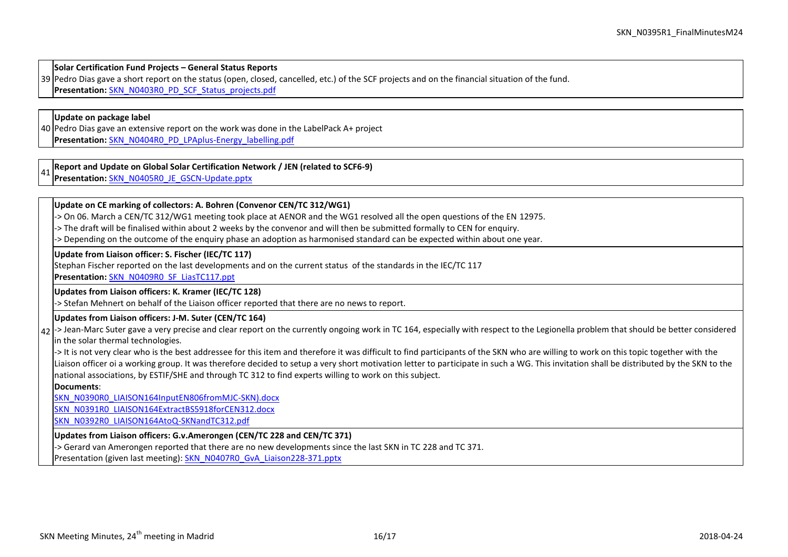**Solar Certification Fund Projects – General Status Reports**

39 Pedro Dias gave a short report on the status (open, closed, cancelled, etc.) of the SCF projects and on the financial situation of the fund.

**Presentation:** [SKN\\_N0403R0\\_PD\\_SCF\\_Status\\_projects.pdf](http://www.estif.org/solarkeymark/Links/Internal_links/network/sknwebdoclist/SKN_N0403R0_PD_SCF_Status_projects.pdf)

#### **Update on package label**

40 Pedro Dias gave an extensive report on the work was done in the LabelPack A+ project **Presentation:** [SKN\\_N0404R0\\_PD\\_LPAplus-Energy\\_labelling.pdf](http://www.estif.org/solarkeymark/Links/Internal_links/network/sknwebdoclist/SKN_N0404R0_PD_LPAplus-Energy_labelling.pdf)

41 **Report and Update on Global Solar Certification Network / JEN (related to SCF6-9)** 

**Presentation:** [SKN\\_N0405R0\\_JE\\_GSCN-Update.pptx](http://www.estif.org/solarkeymark/Links/Internal_links/network/sknwebdoclist/SKN_N0405R0_JE_GSCN-Update.pptx)

#### **Update on CE marking of collectors: A. Bohren (Convenor CEN/TC 312/WG1)**

-> On 06. March a CEN/TC 312/WG1 meeting took place at AENOR and the WG1 resolved all the open questions of the EN 12975.

-> The draft will be finalised within about 2 weeks by the convenor and will then be submitted formally to CEN for enquiry.

-> Depending on the outcome of the enquiry phase an adoption as harmonised standard can be expected within about one year.

**Update from Liaison officer: S. Fischer (IEC/TC 117)**

Stephan Fischer reported on the last developments and on the current status of the standards in the IEC/TC 117

**Presentation:** [SKN\\_N0409R0\\_SF\\_LiasTC117.ppt](http://www.estif.org/solarkeymark/Links/Internal_links/network/sknwebdoclist/SKN_N0409R0_SF_LiasTC117.ppt)

#### **Updates from Liaison officers: K. Kramer (IEC/TC 128)**

-> Stefan Mehnert on behalf of the Liaison officer reported that there are no news to report.

#### **Updates from Liaison officers: J-M. Suter (CEN/TC 164)**

 $_{42}$  -> Jean-Marc Suter gave a very precise and clear report on the currently ongoing work in TC 164, especially with respect to the Legionella problem that should be better considered in the solar thermal technologies.

->It is not very clear who is the best addressee for this item and therefore it was difficult to find participants of the SKN who are willing to work on this topic together with the Liaison officer oi a working group. It was therefore decided to setup a very short motivation letter to participate in such a WG. This invitation shall be distributed by the SKN to the national associations, by ESTIF/SHE and through TC 312 to find experts willing to work on this subject.

**Documents**:

[SKN\\_N0390R0\\_LIAISON164InputEN806fromMJC-SKN\).docx](http://www.estif.org/solarkeymark/Links/Internal_links/network/sknwebdoclist/SKN_N0390R0_LIAISON164InputEN806fromMJC-SKN).docx)

[SKN\\_N0391R0\\_LIAISON164ExtractBS5918forCEN312.docx](http://www.estif.org/solarkeymark/Links/Internal_links/network/sknwebdoclist/SKN_N0391R0_LIAISON164ExtractBS5918forCEN312.docx)

[SKN\\_N0392R0\\_LIAISON164AtoQ-SKNandTC312.pdf](http://www.estif.org/solarkeymark/Links/Internal_links/network/sknwebdoclist/SKN_N0392R0_LIAISON164AtoQ-SKNandTC312.pdf)

## **Updates from Liaison officers: G.v.Amerongen (CEN/TC 228 and CEN/TC 371)**

-> Gerard van Amerongen reported that there are no new developments since the last SKN in TC 228 and TC 371.

Presentation (given last meeting)[: SKN\\_N0407R0\\_GvA\\_Liaison228-371.pptx](http://www.estif.org/solarkeymark/Links/Internal_links/network/sknwebdoclist/SKN_N0407R0_GvA_Liaison228-371.pptx)